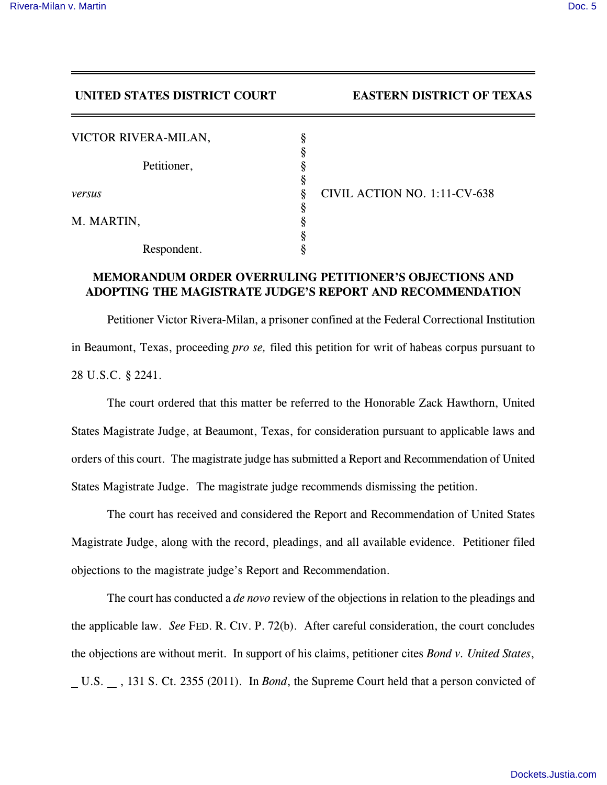## **UNITED STATES DISTRICT COURT EASTERN DISTRICT OF TEXAS**

| VICTOR RIVERA-MILAN, | 8 |
|----------------------|---|
|                      | ş |
| Petitioner,          |   |
|                      |   |
| versus               |   |
|                      |   |
| M. MARTIN,           |   |
|                      |   |
| Respondent.          |   |

*versus* § CIVIL ACTION NO. 1:11-CV-638

## **MEMORANDUM ORDER OVERRULING PETITIONER'S OBJECTIONS AND ADOPTING THE MAGISTRATE JUDGE'S REPORT AND RECOMMENDATION**

Petitioner Victor Rivera-Milan, a prisoner confined at the Federal Correctional Institution in Beaumont, Texas, proceeding *pro se,* filed this petition for writ of habeas corpus pursuant to 28 U.S.C. § 2241.

The court ordered that this matter be referred to the Honorable Zack Hawthorn, United States Magistrate Judge, at Beaumont, Texas, for consideration pursuant to applicable laws and orders of this court. The magistrate judge has submitted a Report and Recommendation of United States Magistrate Judge. The magistrate judge recommends dismissing the petition.

The court has received and considered the Report and Recommendation of United States Magistrate Judge, along with the record, pleadings, and all available evidence. Petitioner filed objections to the magistrate judge's Report and Recommendation.

The court has conducted a *de novo* review of the objections in relation to the pleadings and the applicable law. *See* FED. R. CIV. P. 72(b). After careful consideration, the court concludes the objections are without merit. In support of his claims, petitioner cites *Bond v. United States*, U.S. , 131 S. Ct. 2355 (2011). In *Bond*, the Supreme Court held that a person convicted of